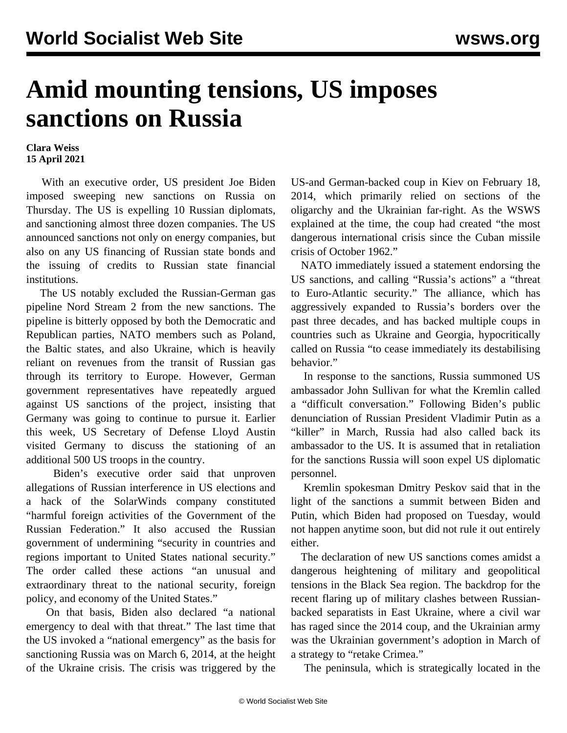## **Amid mounting tensions, US imposes sanctions on Russia**

## **Clara Weiss 15 April 2021**

 With an executive order, US president Joe Biden imposed sweeping new sanctions on Russia on Thursday. The US is expelling 10 Russian diplomats, and sanctioning almost three dozen companies. The US announced sanctions not only on energy companies, but also on any US financing of Russian state bonds and the issuing of credits to Russian state financial institutions.

 The US notably excluded the Russian-German gas pipeline [Nord Stream 2](/en/articles/2019/12/31/nord-d31.html) from the new sanctions. The pipeline is bitterly opposed by both the Democratic and Republican parties, NATO members such as Poland, the Baltic states, and also Ukraine, which is heavily reliant on revenues from the transit of Russian gas through its territory to Europe. However, German government representatives have repeatedly argued against US sanctions of the project, insisting that Germany was going to continue to pursue it. Earlier this week, US Secretary of Defense Lloyd Austin [visited Germany](/en/articles/2021/04/14/aust-a14.html) to discuss the stationing of an additional 500 US troops in the country.

 Biden's executive order said that unproven allegations of Russian interference in US elections and a hack of the [SolarWinds](/en/articles/2020/12/29/solr-d29.html) company constituted "harmful foreign activities of the Government of the Russian Federation." It also accused the Russian government of undermining "security in countries and regions important to United States national security." The order called these actions "an unusual and extraordinary threat to the national security, foreign policy, and economy of the United States."

 On that basis, Biden also declared "a national emergency to deal with that threat." The last time that the US invoked a "national emergency" as the basis for sanctioning Russia was on March 6, 2014, at the height of the Ukraine crisis. The crisis was triggered by the

US-and German-backed coup in Kiev on February 18, 2014, which primarily relied on sections of the oligarchy and the Ukrainian far-right. As the WSWS [explained](/en/articles/2014/03/05/pers-m05.html) at the time, the coup had created "the most dangerous international crisis since the Cuban missile crisis of October 1962."

 NATO immediately issued a statement endorsing the US sanctions, and calling "Russia's actions" a "threat to Euro-Atlantic security." The alliance, which has aggressively expanded to Russia's borders over the past three decades, and has backed multiple coups in countries such as Ukraine and Georgia, hypocritically called on Russia "to cease immediately its destabilising behavior."

 In response to the sanctions, Russia summoned US ambassador John Sullivan for what the Kremlin called a "difficult conversation." Following Biden's public denunciation of Russian President Vladimir Putin as a "killer" in March, Russia had also called back its ambassador to the US. It is assumed that in retaliation for the sanctions Russia will soon expel US diplomatic personnel.

 Kremlin spokesman Dmitry Peskov said that in the light of the sanctions a summit between Biden and Putin, which Biden had proposed on Tuesday, would not happen anytime soon, but did not rule it out entirely either.

 The declaration of new US sanctions comes amidst a dangerous heightening of military and geopolitical tensions in the Black Sea region. The backdrop for the recent flaring up of military clashes between Russianbacked separatists in East Ukraine, where a civil war has raged since the 2014 coup, and the Ukrainian army was the Ukrainian government's adoption in March of a strategy to "retake Crimea."

The peninsula, which is strategically located in the